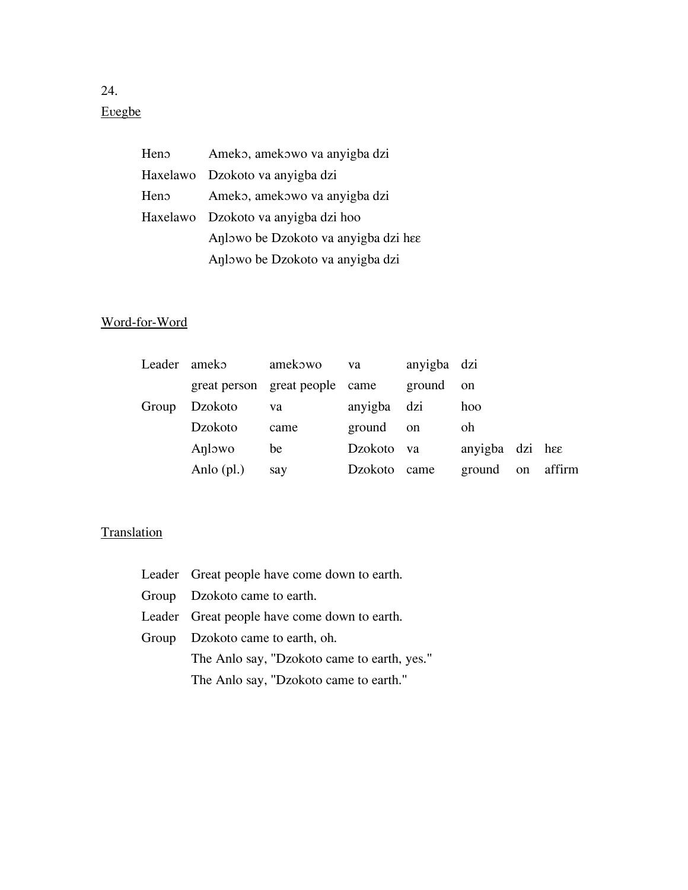## Evegbe

| Ameko, amekowo va anyigba dzi        |
|--------------------------------------|
| Haxelawo Dzokoto va anyigba dzi      |
| Ameko, amekowo va anyigba dzi        |
| Haxelawo Dzokoto va anyigba dzi hoo  |
| Anlowo be Dzokoto va anyigba dzi hee |
| Anlowo be Dzokoto va anyigba dzi     |
|                                      |

## Word-for-Word

| Leader ameko |              | amekowo                        | va           | anyigba dzi |                 |    |        |
|--------------|--------------|--------------------------------|--------------|-------------|-----------------|----|--------|
|              |              | great person great people came |              | ground      | on              |    |        |
| Group        | Dzokoto      | va                             | anyigba dzi  |             | hoo             |    |        |
|              | Dzokoto      | came                           | ground       | on          | oh              |    |        |
|              | Anlowo       | be                             | Dzokoto va   |             | anyigba dzi hee |    |        |
|              | Anlo $(pl.)$ | say                            | Dzokoto came |             | ground          | on | affirm |

## **Translation**

| Leader Great people have come down to earth. |  |  |  |
|----------------------------------------------|--|--|--|
| Group Dzokoto came to earth.                 |  |  |  |
| Leader Great people have come down to earth. |  |  |  |
| Group Dzokoto came to earth, oh.             |  |  |  |
| The Anlo say, "Dzokoto came to earth, yes."  |  |  |  |
| The Anlo say, "Dzokoto came to earth."       |  |  |  |

24.